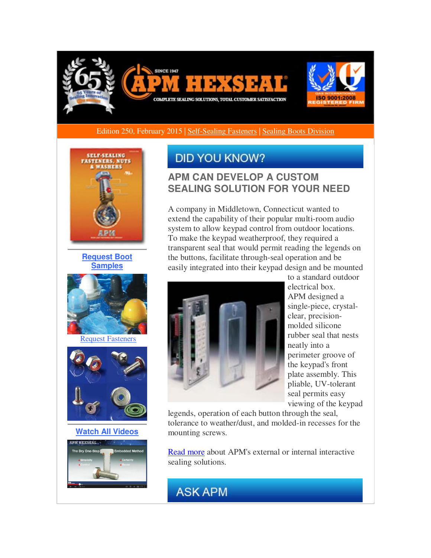

### Edition 250, February 2015 | [Self-Sealing Fasteners](http://r20.rs6.net/tn.jsp?f=001z5hQ9X8-qkN1zPi_fbu8YhX3aLKbQw0agHI0CR1Zmx5wZi4vkSL984ndWB-UrPQyn6UIkV1SWslaObGYe3jvuwyEJmiIwFQIdol40khow4xB7wIAGVH7CVTiUETS629goDVdBdYu0qwFfn0xxY9NNM2Pg9YWHQi_xH4_DgzYRHlw_kgEeQY6jGfZG3tySbIrBgaQLFNyjQ2Kj3rh0hiUIFAk2OGsXhrY1hX6YONaxd0zHDv3_u73Gg4hIKnA4BRFS2i9HxzufpV259R4YKGPfkOdcRWanm0_d7nsLO1XNVZg20PV4s8k9SLUArPUcXGi&c=UKGusj9NW-v0NbVH66l9lWZDeBD_3K51tUCfhjJR-H1zugm4vmLz0w==&ch=G3KNlp52FWLO4uYfpvm3_8OF0sGWXqk5SKRD3--ggQY2YvDUdoutpw==) | Sealing Boots Division



**[Request Boot](http://r20.rs6.net/tn.jsp?f=001z5hQ9X8-qkN1zPi_fbu8YhX3aLKbQw0agHI0CR1Zmx5wZi4vkSL984ndWB-UrPQy--vnhYlzxvY-_9e1lvrmSdT2kUXmyslaljyKVl2X0u_NDqZmK-XXHQI2ycht5PW6o-rHco-13I--XRkU_HD-ZvLlWGqHx3xaPZXYjLt8YzqadU06tDSfIrqx-HKvvH7Jht0pSIqHYqFxoWP42hA-4D7h1Zy7cSlEbNiQ5zhpgI1MW393nJSWKwgDrp0109Q7td3UuHoSkiBFfseoZrO8iFm9REUiovi9oVU3hVxHC-nefaMMdRjeMrQQxYuNREou&c=UKGusj9NW-v0NbVH66l9lWZDeBD_3K51tUCfhjJR-H1zugm4vmLz0w==&ch=G3KNlp52FWLO4uYfpvm3_8OF0sGWXqk5SKRD3--ggQY2YvDUdoutpw==)  [Samples](http://r20.rs6.net/tn.jsp?f=001z5hQ9X8-qkN1zPi_fbu8YhX3aLKbQw0agHI0CR1Zmx5wZi4vkSL984ndWB-UrPQy--vnhYlzxvY-_9e1lvrmSdT2kUXmyslaljyKVl2X0u_NDqZmK-XXHQI2ycht5PW6o-rHco-13I--XRkU_HD-ZvLlWGqHx3xaPZXYjLt8YzqadU06tDSfIrqx-HKvvH7Jht0pSIqHYqFxoWP42hA-4D7h1Zy7cSlEbNiQ5zhpgI1MW393nJSWKwgDrp0109Q7td3UuHoSkiBFfseoZrO8iFm9REUiovi9oVU3hVxHC-nefaMMdRjeMrQQxYuNREou&c=UKGusj9NW-v0NbVH66l9lWZDeBD_3K51tUCfhjJR-H1zugm4vmLz0w==&ch=G3KNlp52FWLO4uYfpvm3_8OF0sGWXqk5SKRD3--ggQY2YvDUdoutpw==)**



[Request Fasteners](http://r20.rs6.net/tn.jsp?f=001z5hQ9X8-qkN1zPi_fbu8YhX3aLKbQw0agHI0CR1Zmx5wZi4vkSL984ndWB-UrPQyplpWd7-LztXBIx2e_7ITjyCMPmykefNtQFPb_lUyZy1El2G0jfhRMd0pGWUeI2eE2a_MUYVMzPq7K4TRuRcqgOtyH2C_JSeRHJZnWBLS5qpJ6n-yEd6a7E9ITWUE3Z7ByHqU96PtmEJo7IE-ylFjJ0AUEVXwySOJVjovE3FKBT_iKqOXRR-tsrTna_UUjuoBD0Dw3irGk3jmzmrCdfkBecilH2E5CT7f92hUlOmpC4QuTzM7ScFkQA==&c=UKGusj9NW-v0NbVH66l9lWZDeBD_3K51tUCfhjJR-H1zugm4vmLz0w==&ch=G3KNlp52FWLO4uYfpvm3_8OF0sGWXqk5SKRD3--ggQY2YvDUdoutpw==)



**[Watch All Videos](http://r20.rs6.net/tn.jsp?f=001z5hQ9X8-qkN1zPi_fbu8YhX3aLKbQw0agHI0CR1Zmx5wZi4vkSL984ndWB-UrPQyG8rxx9fazcXDTMys47XatKar6mWnUNyg4Omelwqv4bc6EYLjDzoq8e2aD4E1UqCi4JO43Yi6ONjY3580Z_81jIRnynE2iMrin9EwlJ5E5jmACLoFoqaxQeEO3Hjg61GyepJKaUVUWR4XZw34qCTpbRT4Zb2KW-b-vJfYgsPmfSZcQ-qloCRI5JC64ussxppXoGMc-bUaiUQ7r8ef9TP1y8NNYIHRKERMMsk-1XbAEiM=&c=UKGusj9NW-v0NbVH66l9lWZDeBD_3K51tUCfhjJR-H1zugm4vmLz0w==&ch=G3KNlp52FWLO4uYfpvm3_8OF0sGWXqk5SKRD3--ggQY2YvDUdoutpw==)**



## **DID YOU KNOW?**

### **APM CAN DEVELOP A CUSTOM SEALING SOLUTION FOR YOUR NEED**

A company in Middletown, Connecticut wanted to extend the capability of their popular multi-room audio system to allow keypad control from outdoor locations. To make the keypad weatherproof, they required a transparent seal that would permit reading the legends on the buttons, facilitate through-seal operation and be easily integrated into their keypad design and be mounted



to a standard outdoor electrical box. APM designed a single-piece, crystalclear, precisionmolded silicone rubber seal that nests neatly into a perimeter groove of the keypad's front plate assembly. This pliable, UV-tolerant seal permits easy viewing of the keypad

legends, operation of each button through the seal, tolerance to weather/dust, and molded-in recesses for the mounting screws.

[Read more](http://r20.rs6.net/tn.jsp?f=001z5hQ9X8-qkN1zPi_fbu8YhX3aLKbQw0agHI0CR1Zmx5wZi4vkSL986uarFJ9WFFGwX0jjazfhENBYMrw5gMG1fToSmMezOW6YLKAc9ObmOvsNUa7l7NWn4b0fp07MvKDbQ34BtnHLwBD2PVf1FTtSViIiivM-cqfvx_DH83l46cNB1O08nviRFlF3wKQNjx10xG4BC9FOnTJR6GOGtHZhOLY1DZDiQqEPzGIOiIGMoDQEmy4JgIWNcmk16nWcO7bDxX2nael9ox2irjaO9KY9FMzLLnq01yeuFeC7gbxJnfWUEywuqZi_SZhd9xUAZkf&c=UKGusj9NW-v0NbVH66l9lWZDeBD_3K51tUCfhjJR-H1zugm4vmLz0w==&ch=G3KNlp52FWLO4uYfpvm3_8OF0sGWXqk5SKRD3--ggQY2YvDUdoutpw==) about APM's external or internal interactive sealing solutions.

# **ASK APM**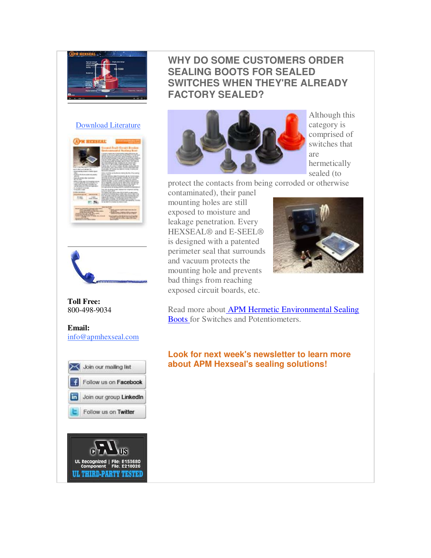

#### [Download Literature](http://r20.rs6.net/tn.jsp?f=001z5hQ9X8-qkN1zPi_fbu8YhX3aLKbQw0agHI0CR1Zmx5wZi4vkSL984ndWB-UrPQy2ZfqBcgs7GSYesj1nIyy9SX_VtZuTt7mdPJNUOPfotwtzxNryfKDVw1l-QB4nQn8fyekHs44BElLgBLJiyJziz0A6HsA5V9877B6GOTHdoDqjS1fO2v1EKDV-hNEizmkR5Kpxws_hpcHgHqkxbt73RmhVjXGwnzd1mcNeciDY8pF2eqGHDAQm2fn3ThIYWOWtQEqCsSd600yZPVuL1J9vrjMN86YH3twMZQWZ3_qWgY=&c=UKGusj9NW-v0NbVH66l9lWZDeBD_3K51tUCfhjJR-H1zugm4vmLz0w==&ch=G3KNlp52FWLO4uYfpvm3_8OF0sGWXqk5SKRD3--ggQY2YvDUdoutpw==)





**Toll Free:**  800-498-9034

### **Email:** [info@apmhexseal.com](mailto:info@apmhexseal.com)



UL Recognized | File<br>Component File

**UL THIRD-PARTY TESTED** 

## **WHY DO SOME CUSTOMERS ORDER SEALING BOOTS FOR SEALED SWITCHES WHEN THEY'RE ALREADY FACTORY SEALED?**



Although this category is comprised of switches that are hermetically sealed (to

protect the contacts from being corroded or otherwise contaminated), their panel

mounting holes are still exposed to moisture and leakage penetration. Every HEXSEAL® and E-SEEL® is designed with a patented perimeter seal that surrounds and vacuum protects the mounting hole and prevents bad things from reaching exposed circuit boards, etc.



Read more abou[t APM Hermetic Environmental Sealing](http://r20.rs6.net/tn.jsp?f=001z5hQ9X8-qkN1zPi_fbu8YhX3aLKbQw0agHI0CR1Zmx5wZi4vkSL986uarFJ9WFFGPK8L13Z7uEPuRQJy9YxwPFjdHVUCs3PVPvjFagE0RDDQMM6VfHy74ZUI2c1wOcaHYXEMHhQSAY-CmQmgPPgMA8LWo7nedha5eGMyTvxZpS-tBfMFN4G-Ohf5WqWYhcf3tgNQW8CPFlWhlFJLYGsjEQMjIN9JQxqSdDncGCwqRAeWJLMaK3Ttz2JDH8tU54y7O_okT_mxdEdiNveiTFGkMn_OOQJRdAHzt29GgDG7lCv-VPSikiMUmlZH-XFVQTkJ6jZ-xOykBgMewgQ0flEHGw==&c=UKGusj9NW-v0NbVH66l9lWZDeBD_3K51tUCfhjJR-H1zugm4vmLz0w==&ch=G3KNlp52FWLO4uYfpvm3_8OF0sGWXqk5SKRD3--ggQY2YvDUdoutpw==)  [Boots f](http://r20.rs6.net/tn.jsp?f=001z5hQ9X8-qkN1zPi_fbu8YhX3aLKbQw0agHI0CR1Zmx5wZi4vkSL986uarFJ9WFFGPK8L13Z7uEPuRQJy9YxwPFjdHVUCs3PVPvjFagE0RDDQMM6VfHy74ZUI2c1wOcaHYXEMHhQSAY-CmQmgPPgMA8LWo7nedha5eGMyTvxZpS-tBfMFN4G-Ohf5WqWYhcf3tgNQW8CPFlWhlFJLYGsjEQMjIN9JQxqSdDncGCwqRAeWJLMaK3Ttz2JDH8tU54y7O_okT_mxdEdiNveiTFGkMn_OOQJRdAHzt29GgDG7lCv-VPSikiMUmlZH-XFVQTkJ6jZ-xOykBgMewgQ0flEHGw==&c=UKGusj9NW-v0NbVH66l9lWZDeBD_3K51tUCfhjJR-H1zugm4vmLz0w==&ch=G3KNlp52FWLO4uYfpvm3_8OF0sGWXqk5SKRD3--ggQY2YvDUdoutpw==)or Switches and Potentiometers.

**Look for next week's newsletter to learn more about APM Hexseal's sealing solutions!**